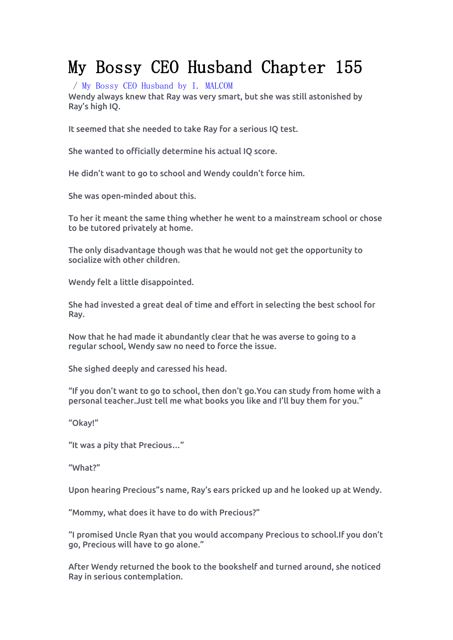# My Bossy CEO Husband Chapter 155

/ My Bossy CEO [Husband](https://noveljar.com/category/my-bossy-ceo-husband-by-i-malcom/) by I. MALCOM

Wendy always knew that Ray was very smart, but she was still astonished by Ray's high IQ.

It seemed that she needed to take Ray for a serious IQ test.<br>She wanted to officially determine his actual IQ score.

He didn't want to go to school and Wendy couldn't force him.

She was open-minded about this.

To her it meant the same thing whether he went to a mainstream school or chose to be tutored privately at home.

The only disadvantage though was that he would not get the opportunity to socialize with other children.

Wendy felt a little disappointed.

She had invested a great dealof time and effort in selecting the best school for Ray.

Now that he had made it abundantly clear that he was averse to going to a regular school, Wendy saw no need to force the issue.

She sighed deeply and caressed his head.

"If you don't want to go to school, then don't go.You can study from home with a personal teacher.Just tell me what books you like and I'll buy them for you."

"Okay!"

"It was a pity that Precious…"

"What?"

Upon hearing Precious"s name, Ray's ears pricked up and he looked up at Wendy.<br>"Mommy, what does it have to do with Precious?"

"I promised Uncle Ryan that you would accompany Precious to school.If you don't go, Precious will have to go alone."

After Wendy returned the book to the bookshelf and turned around, she noticed Ray in serious contemplation.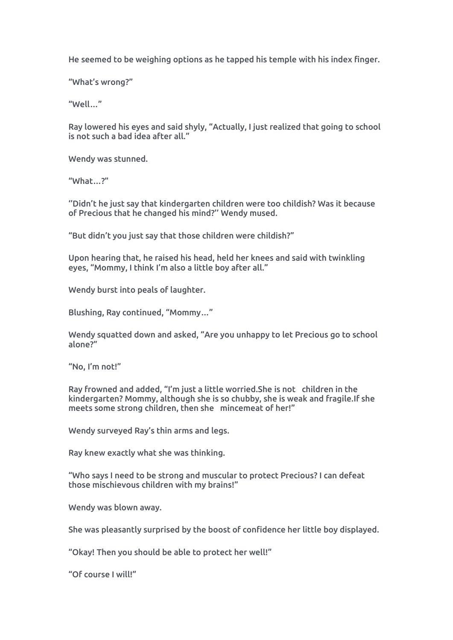He seemed to be weighing options as he tapped his temple with his index finger.

"What's wrong?"

"Well…"

Ray lowered his eyes and said shyly, "Actually, I just realized that going to school is not such a bad idea after all."

Wendy was stunned.

"What…?"

''Didn't he just say that kindergarten children were too childish? Was it because of Precious that he changed his mind?'' Wendy mused.

"But didn't you just say that those children were childish?"

Upon hearing that, he raised his head, held her knees and said with twinkling eyes, "Mommy, I think I'm also a little boy after all."

Wendy burst into peals of laughter.

Blushing, Ray continued, "Mommy…"

Wendy squatted down and asked, "Are you unhappy to let Precious go to school alone?"

"No, I'm not!"

Ray frowned and added, "I'm just a little worried.She is not children in the kindergarten? Mommy, although she is so chubby, she is weak and fragile.If she meets some strong children, then she mincemeat of her!"

Wendy surveyed Ray's thin arms and legs.

Ray knew exactly what she was thinking.

"Who says I need to be strong and muscular to protect Precious? I can defeat those mischievous children with my brains!"

Wendy was blown away.

She was pleasantly surprised by the boost of confidence her little boy displayed.

"Okay! Then you should be able to protect her well!"

"Of course I will!"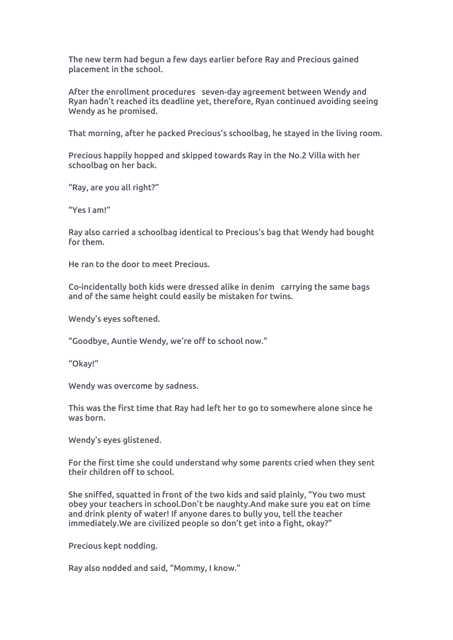The new term had begun a few days earlier before Ray and Precious gained placement in the school.

After the enrollment procedures seven-day agreement between Wendy and Ryan hadn't reached its deadline yet, therefore, Ryan continued avoiding seeing Wendy as he promised.

That morning, after he packed Precious's schoolbag, he stayed in the living room.

Precious happily hopped and skipped towards Ray in the No.2 Villa with her schoolbag on her back.<br>"Ray, are you all right?"

"Yes I am!"

Ray also carried a schoolbag identical to Precious's bag that Wendy had bought for them.

He ran to the door to meet Precious.

Co-incidentally both kids were dressed alike in denim carrying the same bags and of the same height could easily be mistaken for twins.

Wendy's eyes softened.

"Goodbye, Auntie Wendy, we're off to school now."

"Okay!"

Wendy was overcome by sadness.

This was the first time that Ray had left her to go to somewhere alone since he was born.

Wendy's eyes glistened.

For the first time she could understand why some parents cried when they sent their children off to school.

She sniffed, squatted in front of the two kids and said plainly, "You two must obey your teachers in school.Don't be naughty.And make sure you eat on time and drink plenty of water! If anyone dares to bully you, tell the teacher immediately.We are civilized people so don't get into a fight, okay?"

Precious kept nodding.

Ray also nodded and said, "Mommy, I know."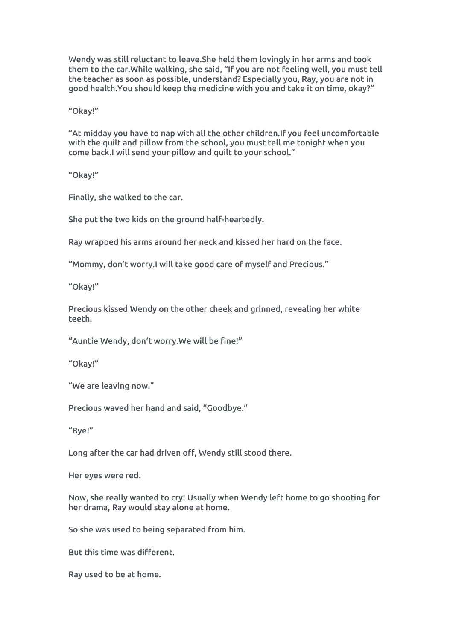Wendy was still reluctant to leave.She held them lovingly in her arms and took them to the car.While walking, she said, "If you are not feeling well, you must tell the teacher as soon as possible, understand? Especially you, Ray, you are not in good health.You should keep the medicine with you and take it on time, okay?"

"Okay!"

"At midday you have to nap with all the other children.If you feel uncomfortable with the quilt and pillow from the school, you must tell me tonight when you come back.I will send your pillow and quilt to your school."

"Okay!"

Finally, she walked to the car.

She put the two kids on the ground half-heartedly.

Ray wrapped his arms around her neck and kissed her hard on the face.

"Mommy, don't worry.I will take good care of myself and Precious."

"Okay!"

Precious kissed Wendy on the other cheek and grinned, revealing her white teeth.

"Auntie Wendy, don't worry.We will be fine!"

"Okay!"

"We are leaving now."

Precious waved her hand and said, "Goodbye."

"Bye!"

Long after the car had driven off, Wendy still stood there.

Her eyes were red.

Now, she really wanted to cry! Usually when Wendy lefthome to go shooting for her drama, Ray would stay alone at home.

So she was used to being separated from him.

But this time was different.

Ray used to be at home.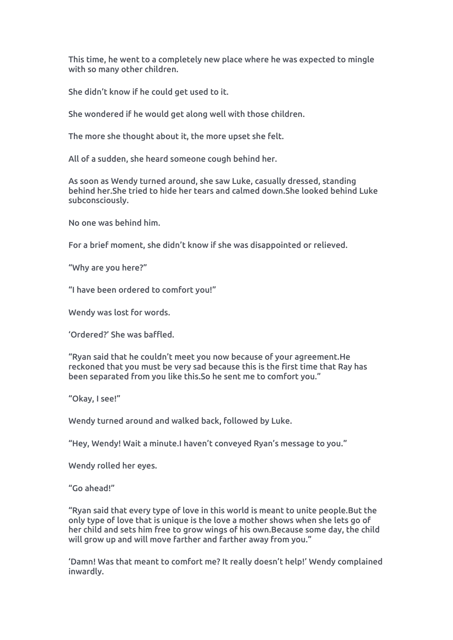This time, he went to a completely new place where he was expected to mingle with so many other children.

She didn't know if he could get used to it.

She wondered if he would get along well with those children.

The more she thought about it, the more upset she felt.

All of a sudden, she heard someone cough behind her.

As soon as Wendy turned around, she saw Luke, casually dressed, standing behind her.She tried to hide her tears and calmed down.She looked behind Luke subconsciously.

No one was behind him.

For a brief moment, she didn't know if she was disappointed or relieved.

"Why are you here?"

"I have been ordered to comfort you!"

Wendy was lost for words.

'Ordered?' She was baffled.

"Ryan said that he couldn't meet you now becauseof your agreement.He reckoned that you must be very sad because this is the first time that Ray has been separated from you like this.So he sent me to comfort you."

"Okay, I see!"

Wendy turned around and walked back, followed by Luke.

"Hey, Wendy! Wait a minute.I haven't conveyed Ryan's message to you."

Wendy rolled her eyes.<br>"Go ahead!"

"Ryan said that every type of love in this world is meant to unite people.But the only type of love that is unique is the love a mother shows when she lets go of her child and sets him free to grow wings of his own.Because some day, the child will grow up and will move farther and farther away from you."

'Damn! Was that meant to comfort me? It really doesn't help!' Wendy complained inwardly.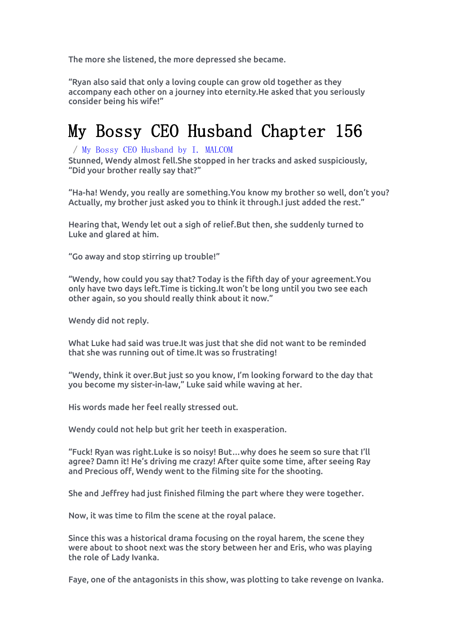The more she listened, the more depressed she became.

"Ryan also said that only a loving couple can grow old together as they accompany each other on a journey into eternity.He asked that you seriously consider being his wife!"

### My Bossy CEO Husband Chapter 156

### / My Bossy CEO [Husband](https://noveljar.com/category/my-bossy-ceo-husband-by-i-malcom/) by I. MALCOM

Stunned, Wendy almost fell.She stopped in her tracks and asked suspiciously, "Did your brother really say that?"

"Ha-ha! Wendy, you really are something.You know my brother so well, don't you? Actually, my brother just asked you to think it through.I just added the rest."

Hearing that, Wendy let out a sigh of relief.But then, she suddenly turned to Luke and glared at him.

"Go away and stop stirring up trouble!"

"Wendy, how could you say that? Today is the fifth day of your agreement.You only have two days left.Time is ticking.It won't be long until you two see each other again, so you should really think about it now."

Wendy did not reply.<br>What Luke had said was true.It was just that she did not want to be reminded that she was running out of time.It was so frustrating!<br>"Wendy, think it over.But just so you know, I'm looking forward to the day that

you become my sister-in-law," Luke said while waving at her.

His words made her feel really stressed out.

Wendy could not help but grit her teeth in exasperation.

"Fuck! Ryan was right.Luke is so noisy! But…why does he seem so sure that I'll agree? Damn it! He's driving me crazy! After quite some time, after seeing Ray and Precious off, Wendy went to the filming site for the shooting.

She and Jeffrey had just finished filming the part where they were together.

Now, it was time to film the scene at the royal palace.

Since this was a historical drama focusing on the royal harem, the scene they were about to shoot next was the story between her and Eris, who was playing the role of Lady Ivanka.

Faye, one of the antagonists in this show, was plotting to take revenge on Ivanka.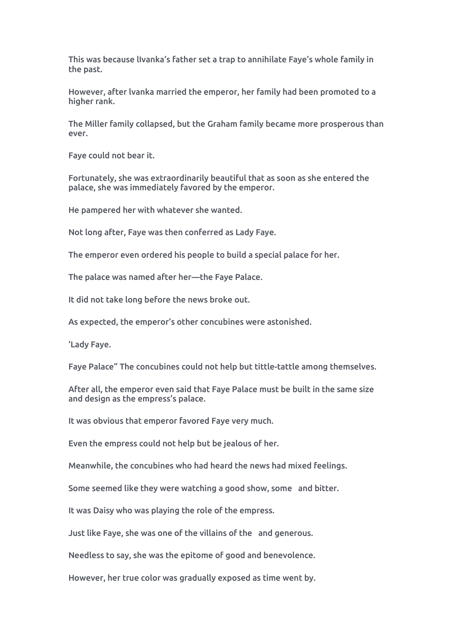This was because lIvanka's father set a trap to annihilate Faye's whole family in the past.

However, after lvanka married the emperor, her family had been promoted to a higher rank.

The Miller family collapsed, but the Graham family became more prosperous than ever.

Faye could not bear it.

Fortunately, she was extraordinarily beautiful that as soon as she entered the palace, she was immediately favored by the emperor.

He pampered her with whatever she wanted.

Not long after, Faye was then conferred as Lady Faye.<br>The emperor even ordered his people to build a special palace for her.

The palace was named after her—the Faye Palace.

It did not take long before the news broke out.

As expected, the emperor's other concubines were astonished.

'Lady Faye.

Faye Palace" The concubines could not help but tittle-tattle among themselves.

After all, the emperor even said that Faye Palace must be built in the same size and design as the empress's palace.

It was obvious that emperor favored Faye very much.

Even the empress could not help but be jealous of her.

Meanwhile, the concubines who had heard the news had mixed feelings.

Some seemed like they were watching a good show, some and bitter.

It was Daisy who was playing the role of the empress.

Just like Faye, she was one of the villains of the and generous.

Needless to say, she was the epitome of good and benevolence.

However, her true color was gradually exposed as time went by.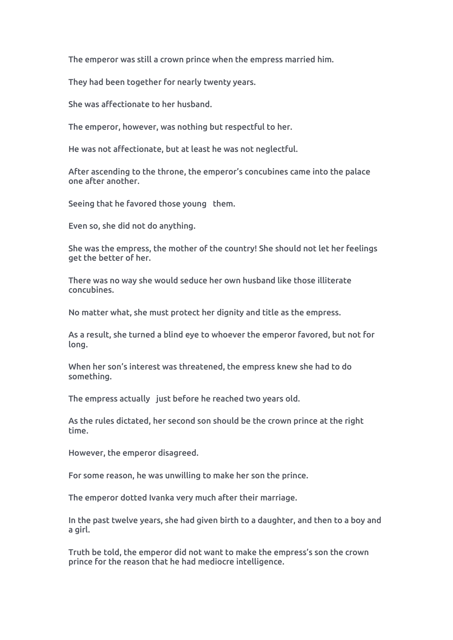The emperor was still a crown prince when the empress married him.

They had been together for nearly twenty years.

She was affectionate to her husband.

The emperor, however, was nothing but respectful to her.

He was not affectionate, but at least he was not neglectful.

After ascending to the throne, the emperor's concubines came into the palace one after another.

Seeing that he favored those young them.

Even so, she did not do anything.

She was the empress, the mother of the country! She should not let her feelings get the better of her.

There was no way she would seduce her own husband like those illiterate concubines.

No matter what, she must protect her dignity and title as the empress.

As a result, she turned a blind eye to whoever the emperor favored, but not for long.

When her son's interest was threatened, the empress knew she had to do something.

The empress actually just before he reached two years old.

As the rules dictated, her second son should be the crown prince at the right time.

However, the emperor disagreed.

For some reason, he was unwilling to make her son the prince.

The emperor dotted Ivanka very much after their marriage.

In the past twelve years, she had given birth to a daughter, and then to a boy and a girl.

Truth be told, the emperor did not want to make the empress's son the crown prince for the reason that he had mediocre intelligence.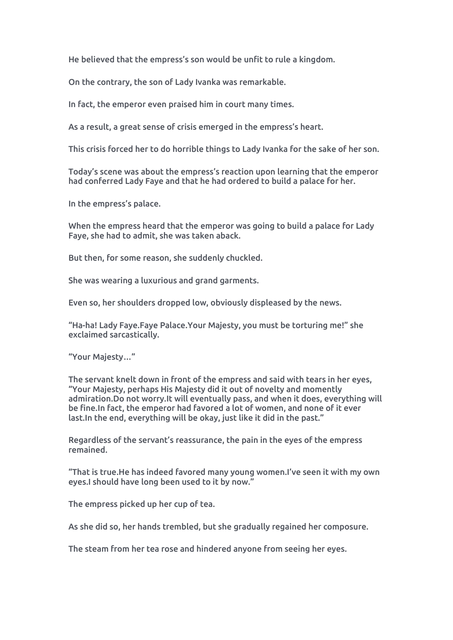He believed that the empress's son would be unfit to rule a kingdom.

On the contrary, the son of Lady Ivanka was remarkable.

In fact, the emperor even praised him in court many times.

As a result, a great sense of crisis emerged in the empress's heart.

This crisis forced her to do horrible things to Lady Ivanka for the sake of her son.

Today's scene was about the empress's reaction upon learning that the emperor had conferred Lady Faye and that he had ordered to build a palace for her.

In the empress's palace.

When the empress heard that the emperor was going to build a palace for Lady Faye, she had to admit, she was taken aback.

But then, for some reason, she suddenly chuckled.

She was wearing a luxurious and grand garments.

Even so, her shoulders dropped low, obviously displeased by the news.

"Ha-ha! Lady Faye.Faye Palace.Your Majesty, you must be torturing me!" she exclaimed sarcastically.

"Your Majesty…"

The servant knelt down in front of the empress and said with tears in her eyes,<br>"Your Majesty, perhaps His Majesty did it out of novelty and momently admiration.Do not worry.It will eventually pass, and when it does, everything will be fine.In fact, the emperor had favored a lot of women, and none of it ever last.In the end, everything will be okay, just like it did in the past."

Regardless of the servant's reassurance, the pain in the eyes of the empress remained.

"That is true.He has indeed favored many young women.I've seen it with my own eyes.I should have long been used to it by now."

The empress picked up her cup of tea.

As she did so, her hands trembled, but she gradually regained her composure.

The steam from her tea rose and hindered anyone from seeing her eyes.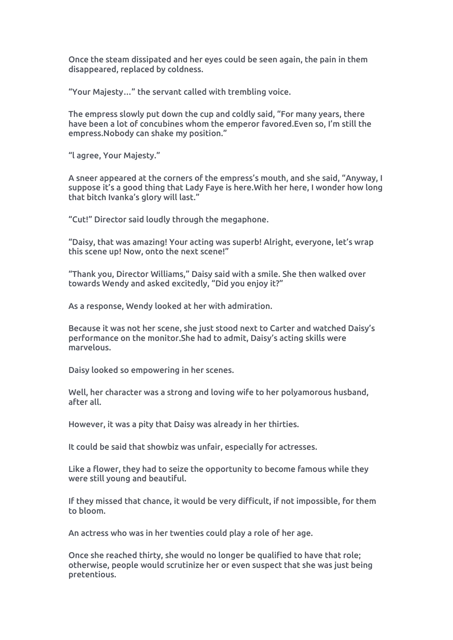Once the steam dissipated and her eyes could be seen again, the pain in them disappeared, replaced by coldness.

"Your Majesty…" the servant called with trembling voice.

The empress slowly put down the cup and coldly said, "For many years, there have been a lot of concubines whom the emperor favored.Even so, I'm still the empress.Nobody can shake my position."

"l agree, Your Majesty."

A sneer appeared at the corners of the empress's mouth, and she said, "Anyway, I suppose it's a good thing that Lady Faye is here.With her here, I wonder how long that bitch Ivanka's glory will last."

"Cut!" Director said loudly through the megaphone.

"Daisy, that was amazing! Your acting was superb! Alright, everyone, let's wrap this scene up! Now, onto the next scene!"

"Thank you, Director Williams," Daisy said with a smile. She then walked over towards Wendy and asked excitedly, "Did you enjoy it?"

As a response, Wendy looked at her with admiration.

Because it was not her scene, she just stood next to Carter and watched Daisy's performance on the monitor.She had to admit, Daisy's acting skills were marvelous.

Daisy looked so empowering in her scenes.

Well, her character was a strong and loving wife to her polyamorous husband, after all.

However, it was a pity that Daisy was already in her thirties.

It could be said that showbiz was unfair, especially for actresses.

Like a flower, they had to seize the opportunity to become famous while they were still young and beautiful.

If they missed that chance, it would be very difficult, if not impossible, for them to bloom.

An actress who was in her twenties could play a role of her age.

Once she reached thirty, she would no longer be qualified to have that role; otherwise, people would scrutinize her or even suspect that she was just being pretentious.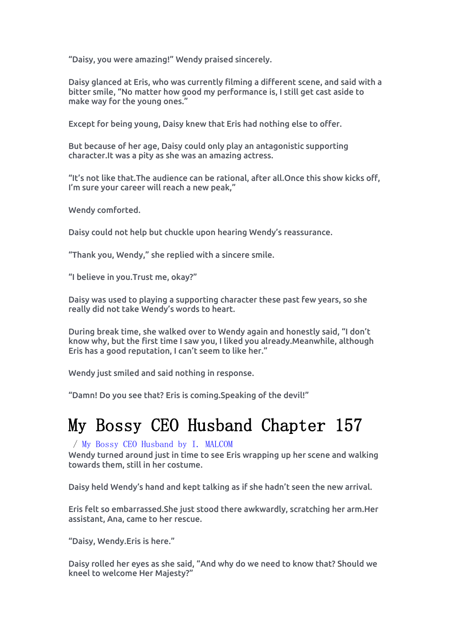"Daisy, you were amazing!" Wendy praised sincerely.

Daisy glanced at Eris, who was currently filming a different scene, and said with a bitter smile, "No matter how good my performance is, I still get cast aside to make way for the young ones."

Except for being young, Daisy knew that Eris had nothing else to offer.

But because of her age, Daisy could only play an antagonistic supporting character.It was a pity asshe was an amazing actress.

"It's not like that.The audience can be rational, after all.Once this show kicks off, I'm sure your career will reach a new peak,"

Wendy comforted.

Daisy could not help but chuckle upon hearing Wendy's reassurance.

"Thank you, Wendy," she replied with a sincere smile.

"I believe in you.Trust me, okay?"

Daisy was used to playing a supporting character these past few years, so she really did not take Wendy's words to heart.

During break time, she walked over to Wendy again and honestly said, "I don't know why, but the first time I saw you, I liked you already.Meanwhile, although Eris has a good reputation, I can't seem to like her."

Wendy just smiled and said nothing in response.

"Damn! Do you see that? Eris is coming.Speaking of the devil!"

# My Bossy CEO Husband Chapter 157

### / My Bossy CEO [Husband](https://noveljar.com/category/my-bossy-ceo-husband-by-i-malcom/) by I. MALCOM

Wendy turned around just in time to see Eris wrapping up her scene and walking towards them, still in her costume.

Daisy held Wendy's hand and kept talking as if she hadn't seen the new arrival.

Eris felt so embarrassed.She just stood there awkwardly, scratching her arm.Her assistant, Ana, came to her rescue.

"Daisy, Wendy.Eris is here."

Daisy rolled her eyes as she said, "And why do we need to know that? Should we kneel to welcome Her Majesty?"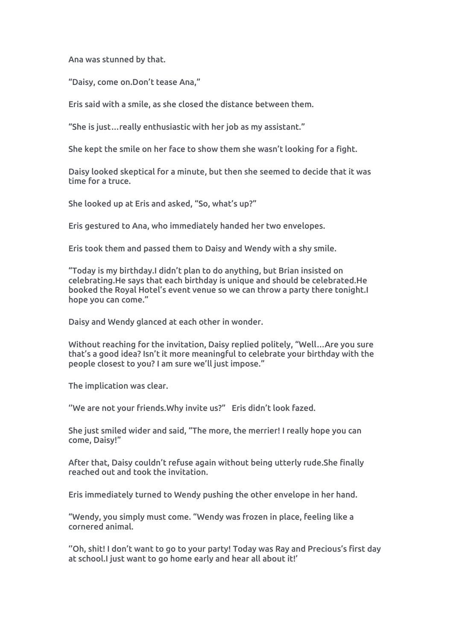Ana was stunned by that.

"Daisy, come on.Don't tease Ana,"

Eris said with a smile, as she closed the distance between them.

"She is just…really enthusiastic with her job as my assistant."

She kept the smile on her face to show them she wasn't looking for a fight.

Daisy looked skeptical for a minute, but then she seemed to decide that it was time for a truce.

She looked up at Eris and asked, "So, what's up?"

Eris gestured to Ana, who immediately handed her two envelopes.

Eris took them and passed them to Daisy and Wendy with a shy smile.

"Today is my birthday.I didn't plan to do anything, but Brian insisted on celebrating.He says that each birthday is unique and should be celebrated.He booked the Royal Hotel's event venue so we can throw a party there tonight.I hope you can come."

Daisy and Wendy glanced at each other in wonder.

Without reaching for the invitation, Daisy replied politely, "Well…Are you sure that's a good idea? Isn't it more meaningful to celebrate your birthday with the people closest to you? I am sure we'll just impose."

The implication was clear.

''We are not your friends.Why invite us?" Eris didn't look fazed.

She just smiled wider and said, "The more, the merrier! I really hope you can come, Daisy!"

After that, Daisy couldn't refuse again without being utterly rude.She finally reached out and took the invitation.

Eris immediately turned to Wendy pushing the other envelope in her hand.

"Wendy, you simply must come. "Wendy was frozen in place, feeling like a cornered animal.

''Oh, shit! I don't want to go to your party! Today was Ray and Precious's first day at school.I just want to go home early and hear all about it!'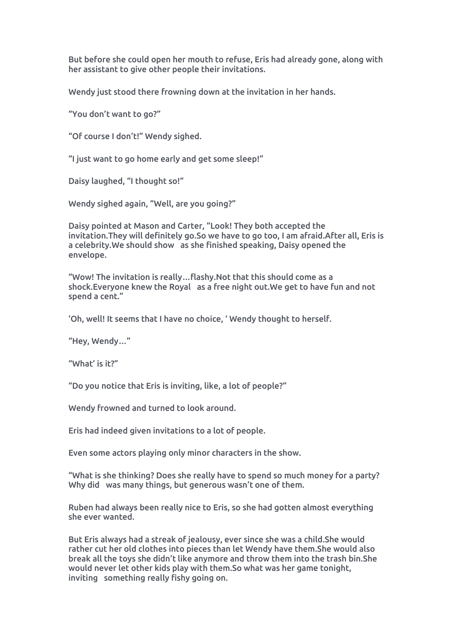But before she could open her mouth to refuse, Eris had already gone, along with her assistant to give other people their invitations.

Wendy just stood there frowning down at the invitation in her hands.<br>"You don't want to go?"

"Of course I don't!" Wendy sighed.

"I just want to go home early and get some sleep!"

Daisy laughed, "I thought so!"

Wendy sighed again, "Well, are you going?"

Daisy pointed at Mason and Carter, "Look! They both accepted the invitation.They will definitely go.So we have to go too, Iam afraid.After all, Eris is a celebrity.We should show as she finished speaking, Daisy opened the envelope.

"Wow! The invitation is really…flashy.Not that this should come as a shock.Everyone knew the Royal as a free night out.We get to have fun and not spend a cent."

'Oh, well! It seems that I have no choice, ' Wendy thought to herself.

"Hey, Wendy…"

"What' is it?"

"Do you notice that Eris is inviting, like, a lot of people?"

Wendy frowned and turned to look around.

Eris had indeed given invitations to a lot of people.

Even some actors playing only minor characters in the show.

"What is she thinking? Does she really have to spend so much money for a party? Why did was many things, but generous wasn't one of them.

Ruben had always been really nice to Eris, so she had gotten almost everything she ever wanted.

But Eris always had a streak of jealousy, ever since she was a child.She would rather cut her old clothes into pieces than let Wendy have them.She would also break all the toys she didn't like anymore and throw them into the trash bin.She would never let other kids play with them.So what was her game tonight, inviting something really fishy going on.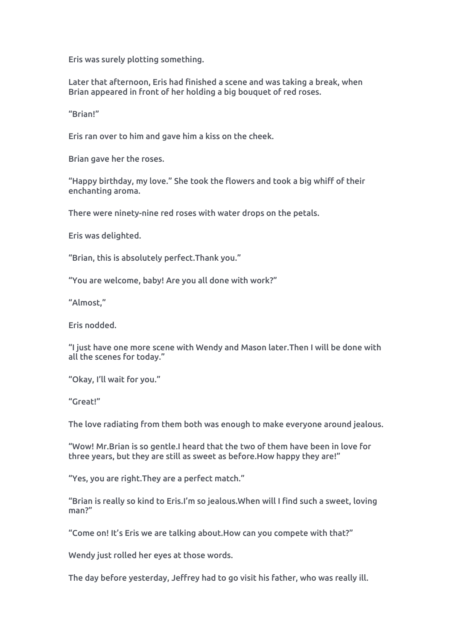Eris was surely plotting something.

Later that afternoon, Eris had finished a scene and was taking a break, when Brian appeared in front of her holding a big bouquet of red roses.

"Brian!"

Eris ran over to him and gave him a kiss on the cheek.

Brian gave her the roses.

"Happy birthday, my love." She took the flowers and took a big whiff of their enchanting aroma.

There were ninety-nine red roses with water drops on the petals.

Eris was delighted.

"Brian, this is absolutely perfect.Thank you."

"You are welcome, baby! Are you all done with work?"

"Almost,"

Eris nodded.

"I just have one more scene with Wendy and Mason later.Then Iwill be done with all the scenes for today."

"Okay, I'll wait for you."

"Great!"

The love radiating from them both was enough to make everyone around jealous.

"Wow! Mr.Brian is so gentle.I heard that the two of them have been in love for three years, but they are still as sweet as before.How happy they are!"

"Yes, you are right. They are a perfect match."

"Brian is really so kind to Eris.I'm so jealous.When will I find such a sweet, loving man?"

"Come on! It's Eris we are talking about.How can youcompete with that?"

Wendy just rolled her eyes at those words.

The day before yesterday, Jeffrey had to go visit his father, who was really ill.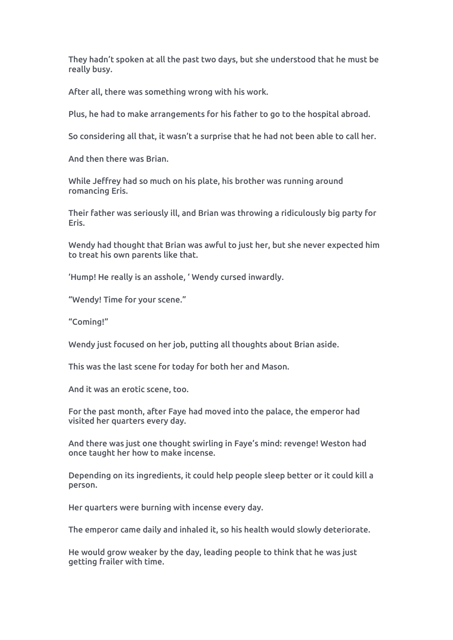They hadn't spoken at all the past two days, but she understood that he must be really busy.

After all, there was something wrong with his work.

Plus, he had to make arrangements for his father to go to the hospital abroad.

So considering all that, it wasn't a surprise that he had not been able to call her.

And then there was Brian.

While Jeffrey had so much on his plate, his brother was running around romancing Eris.

Their father was seriously ill, and Brian was throwing a ridiculously big party for Eris.

Wendy had thought that Brian was awful to just her, but she never expected him to treat his own parents like that.

'Hump! He really is an asshole, ' Wendy cursed inwardly.

"Wendy! Time for your scene."

"Coming!"

Wendy just focused on her job, putting all thoughts about Brian aside.

This was the last scene for today for both her and Mason.

And it was an erotic scene, too.

For the past month, after Faye had moved into the palace, the emperor had visited her quarters every day.

And there was just one thought swirling in Faye's mind: revenge! Weston had once taught her how to make incense.

Depending on its ingredients, it could help people sleep better or it could kill a person.

Her quarters were burning with incense every day.

The emperor came daily and inhaled it, so his health would slowly deteriorate.

He would grow weaker by the day, leading people to think that he was just getting frailer with time.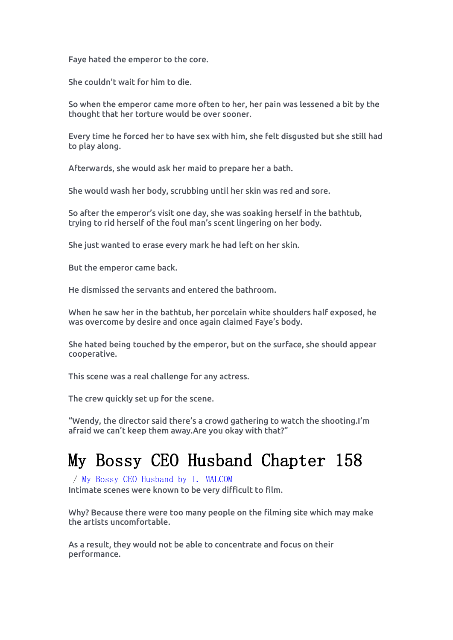Faye hated the emperor to the core.

She couldn't wait for him to die.

So when the emperor came more often to her, her pain was lessened a bit by the thought that her torture would be over sooner.

Every time he forced her to have sex with him, she felt disgusted but she still had to play along.

Afterwards, she would ask her maid to prepare her a bath.

She would wash her body, scrubbing until her skin was red and sore.

So after the emperor's visit one day, she was soaking herself in the bathtub, trying to rid herself of the foul man's scent lingering on her body.

She just wanted to erase every mark he had left on her skin.

But the emperor came back.

He dismissed the servants and entered the bathroom.

When he saw her in the bathtub, her porcelain white shoulders half exposed, he was overcome by desire and once again claimed Faye's body.

She hated being touched by the emperor, but on the surface, she should appear cooperative.

This scene was a real challenge for any actress.

The crew quickly set up for the scene.

"Wendy, the director said there's a crowd gathering to watch the shooting.I'm afraid we can't keep them away.Are you okay with that?"

# My Bossy CEO Husband Chapter 158

/ My Bossy CEO [Husband](https://noveljar.com/category/my-bossy-ceo-husband-by-i-malcom/) by I. MALCOM Intimate scenes were known to be very difficult to film.

Why? Because there were too many people on the filming site which may make the artists uncomfortable.

As a result, they would not be able to concentrate and focus on their performance.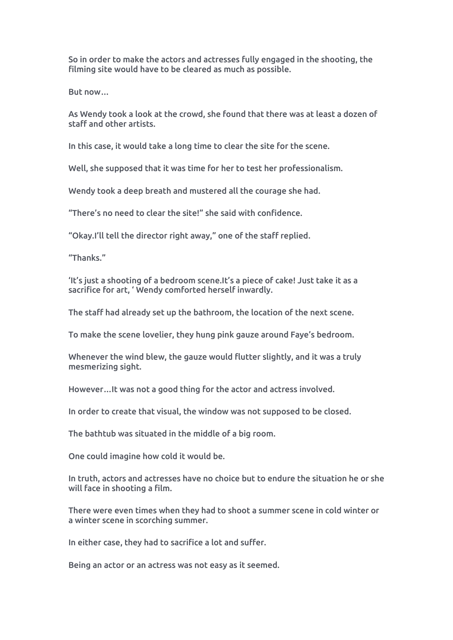So in order to make the actors and actresses fully engaged in the shooting, the filming site would have to be cleared as much as possible.

But now…

As Wendy took a look at the crowd, she found that there was at least a dozen of staff and other artists.

In this case, it would take a long time to clear the site for the scene.

Well, she supposed that it was time for her to test her professionalism.

Wendy took a deep breath and mustered all the courage she had.

"There's no need to clear the site!" she said with confidence.

"Okay.I'll tell the director right away," one of the staff replied.

"Thanks."

'It's just a shooting of a bedroom scene.It's a piece of cake! Just take it asa sacrifice for art, ' Wendy comforted herself inwardly.

The staff had already set up the bathroom, the location of the next scene.

To make the scene lovelier, they hung pink gauze around Faye's bedroom.

Whenever the wind blew, the gauze would flutter slightly, and it was a truly mesmerizing sight.

However…It was not a good thing for the actor and actress involved.

In order to create that visual, the window was not supposed to be closed.

The bathtub was situated in the middle of a big room.

One could imagine how cold it would be.

In truth, actors and actresses have no choice but to endure the situation he or she will face in shooting a film.

There were even times when they had to shoot a summer scene in cold winter or a winter scene in scorching summer.

In either case, they had to sacrifice a lot and suffer.

Being an actor or an actress was not easy as it seemed.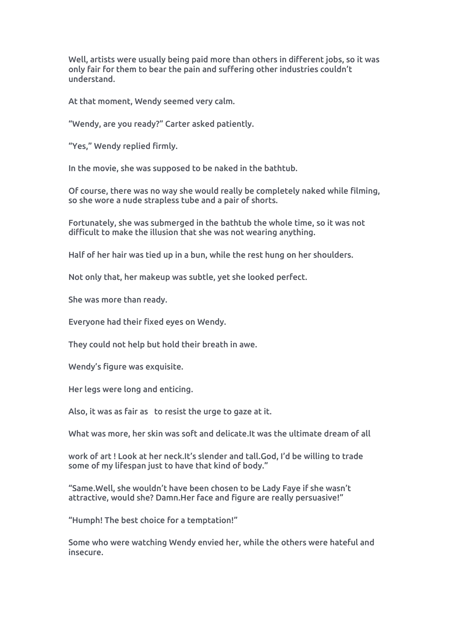Well, artists were usually being paid more than others in different jobs, so it was only fair for them to bear the pain and suffering other industries couldn't understand.

At that moment, Wendy seemed very calm.

"Wendy, are you ready?" Carter asked patiently.

"Yes," Wendy replied firmly.

In the movie, she was supposed to be naked in the bathtub.

Of course, there was no way she would really be completely naked while filming, so she wore a nude strapless tube and a pair of shorts.

Fortunately, she was submerged in the bathtub the whole time, so it was not difficult to make the illusion that she was not wearing anything.

Half of her hair was tied up in a bun, while the rest hung on her shoulders.

Not only that, her makeup was subtle, yet she looked perfect.

She was more than ready.

Everyone had their fixed eyes on Wendy.

They could not help but hold their breath in awe.

Wendy's figure was exquisite.

Her legs were long and enticing.

Also, it was as fair as to resist the urge to gaze at it.

What was more, her skin was soft and delicate.It was the ultimate dream of all

work of art ! Look at her neck.It's slender and tall.God, I'd be willing to trade some of my lifespan just to have that kind of body."

"Same.Well, she wouldn't have been chosen to be Lady Faye if she wasn't attractive, would she? Damn.Her face and figure are really persuasive!"

"Humph! The best choice for a temptation!"

Some who were watching Wendy envied her, while the others were hateful and insecure.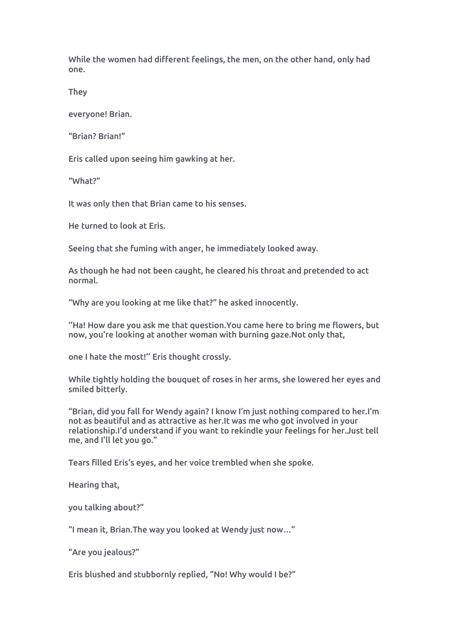While the women had different feelings, the men, on the other hand, only had one.

**They** 

everyone! Brian.

"Brian? Brian!"

Eris called upon seeing him gawking at her.

"What?"

It was only then that Brian came to his senses.<br>He turned to look at Eris.

Seeing that she fuming with anger, he immediately looked away.

As though he had not been caught, he cleared his throat and pretended to act normal.

"Why are you looking at me like that?" he asked innocently.

''Ha! How dare you ask me that question.You came here to bring me flowers, but now, you're looking at another woman with burning gaze.Not only that,

one I hate the most!'' Eris thought crossly.

While tightly holding the bouquet of roses in her arms, she lowered her eyes and smiled bitterly.

"Brian, did you fall forWendy again? I know I'm just nothing compared to her.I'm not as beautiful and as attractive as her.It was me who got involved in your relationship.I'd understand if you want to rekindle your feelings for her.Just tell me, and I'll let you go."

Tears filled Eris's eyes, and her voice trembled when she spoke.

Hearing that,

you talking about?"

"I mean it, Brian.The way you looked at Wendy just now…"

"Are you jealous?"

Eris blushed and stubbornly replied, "No! Why would I be?"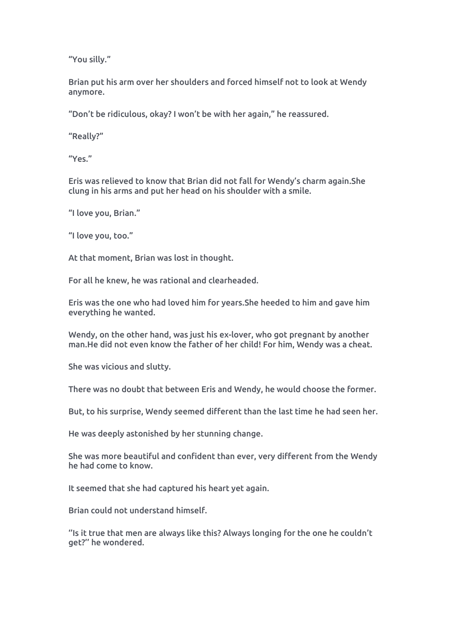"You silly."

Brian put his arm over her shoulders and forced himself not to look at Wendy anymore.

"Don't be ridiculous, okay? I won't be with her again," he reassured.

"Really?"

"Yes."

Eris was relieved to know that Brian did not fall for Wendy's charm again.She clung in his arms and put her head on his shoulder with a smile.

"I love you, Brian."

"I love you, too."

At that moment, Brian was lost in thought.

For all he knew, he was rational and clearheaded.

Eris was the one who had loved him for years.She heeded to him and gave him everything he wanted.

Wendy, on the other hand, was just his ex-lover, who got pregnant by another man.He did not even know the father of her child! For him, Wendy was a cheat.

She was vicious and slutty.

There was no doubt that between Eris and Wendy, he would choose the former.

But, to his surprise, Wendy seemed different than the last time he had seen her.

He was deeply astonished by her stunning change.

She was more beautiful and confident than ever, very different from the Wendy he had come to know.

It seemed that she had captured his heart yet again.

Brian could not understand himself.

''Is it true that men are always like this? Always longing for the one he couldn't get?'' he wondered.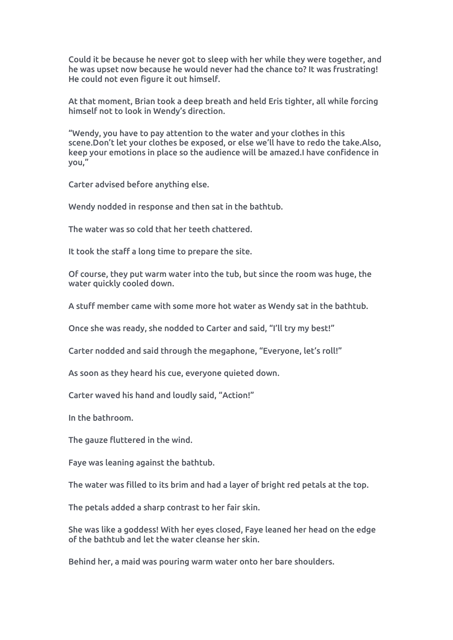Could it be because he never got to sleep with her while they were together, and he was upset now because he would never had the chance to? It was frustrating! He could not even figure it out himself.

At that moment, Brian took a deep breath and held Eris tighter, all while forcing himself not to look in Wendy's direction.

"Wendy, you have to pay attention to the water and your clothes in this scene.Don't let your clothes be exposed, or else we'll have to redo the take.Also, keep your emotions in place so the audience will be amazed.I have confidence in you,"

Carter advised before anything else.

Wendy nodded in response and then sat in the bathtub.

The water was so cold that her teeth chattered.

It took the staff a long time to prepare the site.

Of course, they put warm water into the tub, but since the room was huge, the water quickly cooled down.

A stuff member came with some more hot water as Wendy sat in the bathtub.

Once she was ready, she nodded to Carter and said, "I'll try my best!"

Carter nodded and said through the megaphone, "Everyone, let's roll!"

As soon as they heard his cue, everyone quieted down.

Carter waved his hand and loudly said, "Action!"

In the bathroom.

The gauze fluttered in the wind.

Faye was leaning against the bathtub.

The water was filled to its brim and had a layer of bright red petals at the top.

The petals added a sharp contrast to her fair skin.

She was like a goddess! With her eyes closed, Faye leaned her head on the edge of the bathtub and let the water cleanse her skin.

Behind her, a maid was pouring warm water onto her bare shoulders.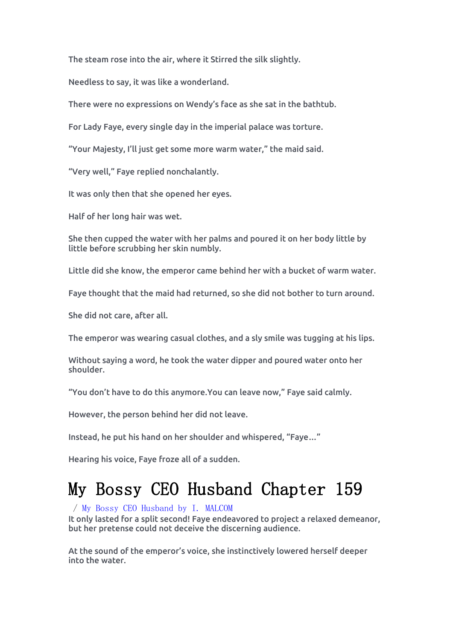The steam rose into the air, where it Stirred the silk slightly.

Needless to say, it was like a wonderland.

There were no expressions on Wendy's face as she sat in the bathtub.

For Lady Faye, every single day in the imperial palace was torture.

"Your Majesty, I'll just get some more warm water," the maid said.

"Very well," Faye replied nonchalantly.

It was only then that she opened her eyes.

Half of her long hair was wet.

She then cupped the water with her palms and poured it on her body little by little before scrubbing her skin numbly.

Little did she know, the emperor came behind her with a bucket of warm water.

Faye thought that the maid had returned, so she did not bother to turn around.

She did not care, after all.

The emperor was wearing casual clothes, and a sly smile was tugging at his lips.

Without saying a word, he took the water dipper and poured water onto her shoulder.

"You don't have to do this anymore.You can leave now," Faye said calmly.

However, the person behind her did not leave.

Instead, he put his hand on her shoulder and whispered, "Faye…"

Hearing his voice, Faye froze all of a sudden.

# My Bossy CEO Husband Chapter 159

/ My Bossy CEO [Husband](https://noveljar.com/category/my-bossy-ceo-husband-by-i-malcom/) by I. MALCOM

It only lasted for a split second! Faye endeavored to project a relaxed demeanor, but her pretense could not deceive the discerning audience.

At the sound of the emperor's voice, she instinctively lowered herself deeper into the water.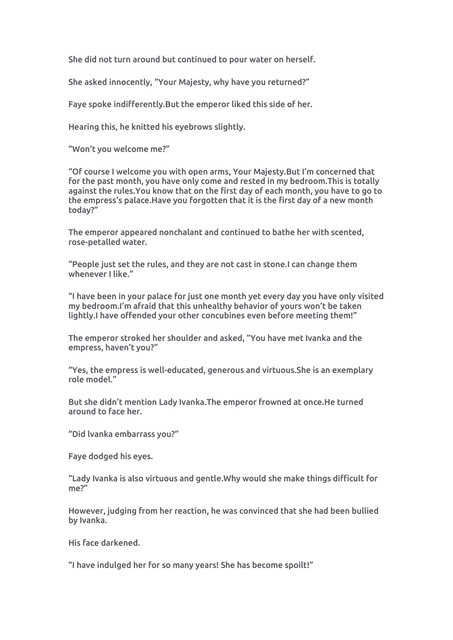She did not turn around but continued to pour water on herself.

She asked innocently, "Your Majesty, why have you returned?"

Faye spoke indifferently.But the emperor liked this side of her.

Hearing this, he knitted his eyebrows slightly.

"Won't you welcome me?"

"Of course I welcome you with open arms, Your Majesty.But I'm concernedthat for the past month, you have only come and rested in my bedroom. This is totally against the rules.You know that on the first day of each month, you have to go to the empress's palace.Have you forgotten that it is the first day of a new month today?"

The emperor appeared nonchalant and continued to bathe her with scented, rose-petalled water.

"People just set the rules, and they are not cast in stone.I can change them whenever I like."

"I have been in your palace for just one month yet every day you have only visited my bedroom.I'm afraid that this unhealthy behavior of yours won't be taken lightly.I have offended your other concubines even before meeting them!"

The emperor stroked her shoulder and asked, "You have met Ivanka and the empress, haven't you?"

"Yes, the empress is well-educated, generous and virtuous.She is an exemplary role model."

But she didn't mention Lady Ivanka.The emperor frowned at once.He turned around to face her.

"Did lvanka embarrass you?"

Faye dodged his eyes.

"Lady Ivanka is also virtuous and gentle.Why would she make things difficult for me?"

However, judging from her reaction, he was convinced that she had been bullied by Ivanka.

His face darkened.

"I have indulged her for so many years! She has become spoilt!"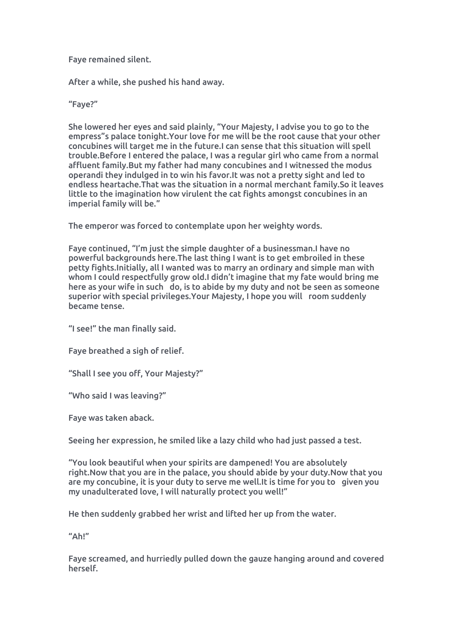### Faye remained silent.

After a while, she pushed his hand away.

#### "Faye?"

She lowered her eyes and said plainly, "Your Majesty, I advise you to go to the empress"s palace tonight.Your love for me will be the root cause that your other concubines will target me in the future.I can sense that this situation will spell trouble.Before I entered the palace, Iwas a regular girl who came from a normal affluent family.But my father had many concubines and I witnessed the modus operandi they indulged in to win his favor.It was not a pretty sight and led to endless heartache.That was the situation in a normal merchant family.So it leaves little to the imagination how virulent the cat fights amongst concubines in an imperial family will be."

The emperor was forced to contemplate upon her weighty words.

Faye continued, "I'm just the simple daughter of a businessman.I have no powerful backgrounds here.The last thing I want is to get embroiled in these petty fights.Initially, all I wanted was to marry an ordinary and simple man with whom I could respectfully grow old.I didn't imagine that my fate would bring me here as your wife in such do, is to abide by my duty and not be seen as someone superior with special privileges.Your Majesty, I hope you will room suddenly became tense.

"I see!" the man finally said.

Faye breathed a sigh of relief.

"Shall I see you off, Your Majesty?"

"Who said I was leaving?"

Faye was taken aback.

Seeing her expression, he smiled like alazy child who had just passed a test.

"You look beautiful when your spirits are dampened! You are absolutely right.Now that you are in the palace, you should abide by your duty.Now that you are my concubine, it is your duty to serve me well.It is time for you to given you my unadulterated love, I will naturally protect you well!"

He then suddenly grabbed her wrist and lifted her up from the water.

 $''$ Ah!"

Faye screamed, and hurriedly pulled down the gauze hanging around and covered herself.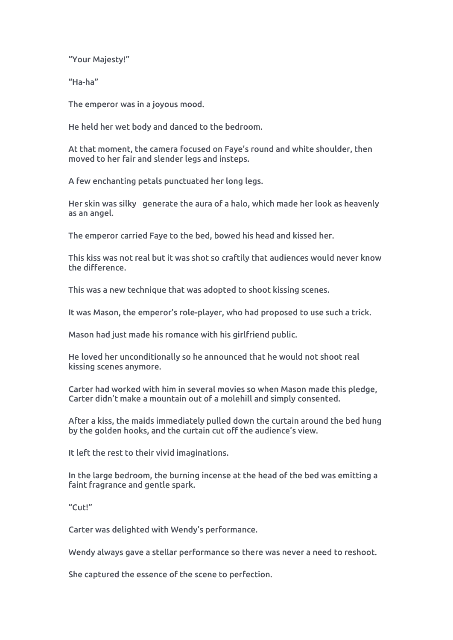"Your Majesty!"

"Ha-ha"

The emperor was in a joyous mood.

He held her wet body and danced to the bedroom.

At that moment, the camera focused on Faye's round and white shoulder, then moved to her fair and slender legs and insteps.

A few enchanting petals punctuated her long legs.

Her skin was silky generate the aura of a halo, which made her look as heavenly as an angel.

The emperor carried Faye to the bed, bowed his head and kissed her.

This kiss was not real but it was shot so craftily that audiences would never know the difference.

This was a new technique that was adopted to shoot kissing scenes.

It was Mason, the emperor's role-player, who had proposed to use such a trick.

Mason had just made his romance with his girlfriend public.

He loved her unconditionally so he announced that he would not shoot real kissing scenes anymore.

Carter had worked with him in several movies so when Mason made this pledge, Carter didn't make a mountain out of a molehill and simply consented.

After a kiss, the maids immediately pulled down the curtain around the bed hung by the golden hooks, and the curtain cut off the audience's view.

It left the rest to their vivid imaginations.

In the large bedroom, the burning incense at the head of the bed was emitting a faint fragrance and gentle spark.<br>"Cut!"

Carter was delighted with Wendy's performance.

Wendy always gave a stellar performance so there was never a need to reshoot.

She captured the essence of the scene to perfection.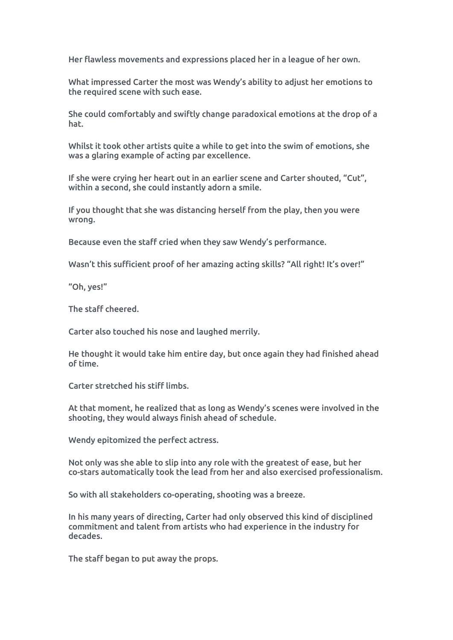Her flawless movements and expressions placed her in a league of her own.

What impressed Carter the most was Wendy's ability to adjust her emotions to the required scene with such ease.

She could comfortably and swiftly change paradoxical emotions at the drop of a hat.

Whilst it took other artists quite a while to get into the swim of emotions, she was a glaring example of acting par excellence.

If she were crying her heart out in an earlier scene and Carter shouted, "Cut", within a second, she could instantly adorn a smile.

If you thought that she was distancing herself from the play, then you were wrong.

Because even the staff cried when they saw Wendy's performance.

Wasn't this sufficient proof of her amazing acting skills? "All right! It's over!"

"Oh, yes!"

The staff cheered.

Carter also touched his nose and laughed merrily.

He thought it would take him entire day, but once again they had finished ahead of time.

Carter stretched his stiff limbs.

At that moment, he realized that as long as Wendy's scenes were involved in the shooting, they would always finish ahead of schedule.

Wendy epitomized the perfect actress.

Not only was she able to slip into any role with the greatest of ease, but her co-stars automatically took the lead from her and also exercised professionalism.

So with all stakeholders co-operating, shooting was a breeze.

In his many years of directing, Carter had only observed this kind of disciplined commitment and talent from artists who had experience in the industry for decades.

The staff began to put away the props.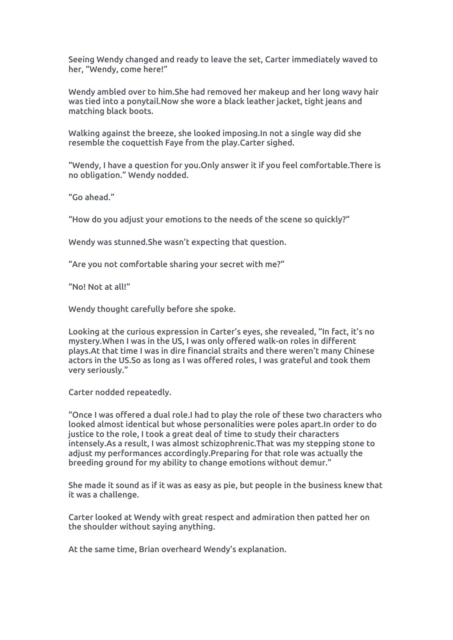Seeing Wendy changed and ready to leave the set, Carter immediately waved to her, "Wendy, come here!"

Wendy ambled over to him.She had removed her makeup and herlong wavy hair was tied into a ponytail.Now she wore ablack leather jacket, tight jeans and matching black boots.

Walking against the breeze, she looked imposing.In not a single way did she resemble the coquettish Faye from the play.Carter sighed.

"Wendy, I have aquestion for you.Only answer it if you feel comfortable.There is no obligation." Wendy nodded.

"Go ahead."

"How do you adjust your emotions to the needs of the scene so quickly?"

Wendy was stunned.She wasn't expecting that question.

"Are you not comfortable sharing your secret with me?"

"No! Not at all!"

Wendy thought carefully before she spoke.

Looking at the curious expression in Carter's eyes, she revealed, "In fact, it's no mystery.When I was in the US, I was only offered walk-on roles in different plays.At that time I was in dire financial straits and there weren't many Chinese actors in the US.So as long as I was offered roles, I was grateful and took them very seriously."

Carter nodded repeatedly.

"Once I was offered a dual role.I had to play the role of these two characters who looked almostidentical but whose personalities were poles apart.In order to do justice to the role, I took a great deal of time to study their characters intensely.As a result, I was almost schizophrenic.That was my stepping stone to adjust my performances accordingly.Preparing for that role was actually the breeding ground for my ability to change emotions without demur."

She made it sound as if it was as easy as pie, but people in the business knew that it was a challenge.

Carter looked at Wendy with great respect and admiration then patted her on the shoulder without saying anything.

At the same time, Brian overheard Wendy's explanation.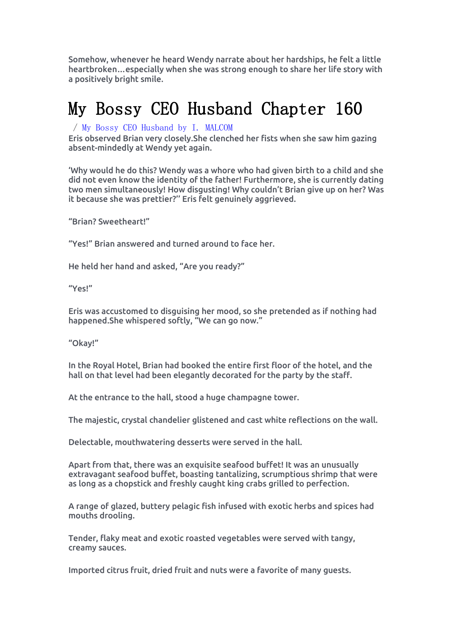Somehow, whenever he heard Wendy narrate about her hardships, he felt a little heartbroken…especially when she was strong enough to share her life story with a positively bright smile.

### My Bossy CEO Husband Chapter 160

/ My Bossy CEO [Husband](https://noveljar.com/category/my-bossy-ceo-husband-by-i-malcom/) by I. MALCOM

Eris observed Brian very closely.She clenched her fists when she saw him gazing absent-mindedly at Wendy yet again.

'Why would he do this? Wendy was a whore who had given birth to a child and she did not even know the identity of the father! Furthermore, she is currently dating two men simultaneously! How disgusting! Why couldn't Brian give up on her? Was it because she was prettier?'' Eris felt genuinely aggrieved.

"Brian? Sweetheart!"

"Yes!" Brian answered and turned around to face her.

He held her hand and asked, "Are you ready?"

"Yes!"

Eris was accustomed to disguising her mood, so she pretended as if nothing had happened.She whispered softly, "We can go now."

"Okay!"

In the Royal Hotel, Brian had booked the entire first floor of the hotel, and the hall on that level had been elegantly decorated for the party by the staff.

At the entrance to the hall, stood a huge champagne tower.

The majestic, crystal chandelier glistened and cast white reflections on the wall.

Delectable, mouthwatering desserts were served in the hall.

Apart from that, there was an exquisite seafood buffet! It was an unusually extravagant seafood buffet, boasting tantalizing, scrumptious shrimp that were as long as a chopstick and freshly caught king crabs grilled to perfection.

A range of glazed, buttery pelagic fish infused with exotic herbs and spices had mouths drooling.

Tender, flaky meat and exotic roasted vegetables were served with tangy, creamy sauces.

Imported citrus fruit, dried fruit and nuts were afavorite of many guests.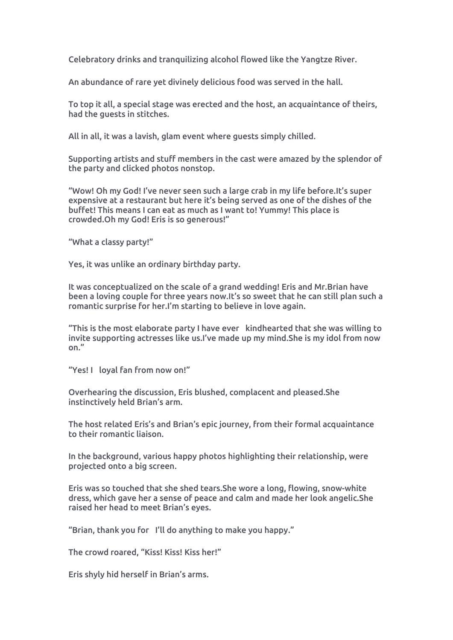Celebratory drinks and tranquilizing alcohol flowed like the Yangtze River.

An abundance of rare yet divinely delicious food was served in the hall.

To top it all, a special stage was erected and the host,an acquaintance of theirs, had the guests in stitches.

All in all, it was a lavish, glam event where guests simply chilled.

Supporting artists and stuff members in the cast were amazed by the splendor of the party and clicked photos nonstop.

"Wow! Oh my God! I've never seen such a large crab in my life before.It's super expensive at a restaurant but here it's being served as one of the dishes of the buffet! This means I can eat as much as I want to! Yummy! This place is crowded.Oh my God! Eris is so generous!"

"What a classy party!"

Yes, it was unlike an ordinary birthday party.

It was conceptualized on the scale of a grand wedding! Eris and Mr.Brian have been a loving couple for three years now.It's so sweet that he can still plan such a romantic surprise for her.I'm starting to believe in love again.

"This is the most elaborate party I have ever kindhearted that she was willing to invite supporting actresses like us.I've made up my mind.She is my idol from now on."

"Yes! I loyal fan from now on!"

Overhearing the discussion, Eris blushed, complacent and pleased.She instinctively held Brian's arm.

The host related Eris's and Brian's epic journey, from their formal acquaintance to their romantic liaison.

In the background, various happy photos highlighting their relationship, were projected onto a big screen.

Eris was so touched that she shed tears.She wore a long, flowing, snow-white dress, which gave her a sense of peace and calm and made her look angelic.She raised her head to meet Brian's eyes.

"Brian, thank you for I'll do anything to make you happy."

The crowd roared, "Kiss! Kiss! Kiss her!"

Eris shyly hid herself in Brian's arms.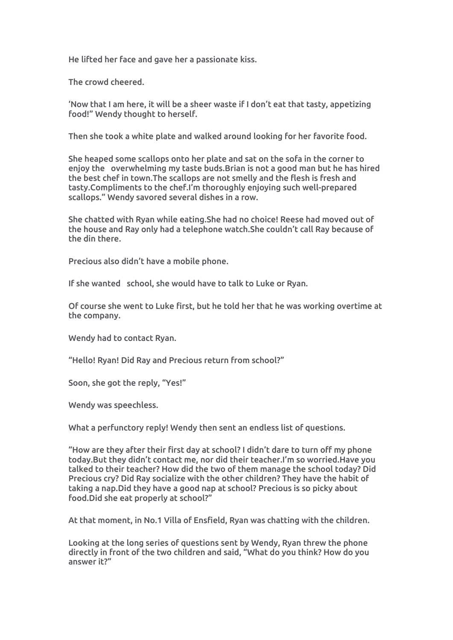He lifted her face and gave her a passionate kiss.

The crowd cheered.

'Now that I am here, it will be a sheer waste if I don't eat that tasty,appetizing food!" Wendy thought to herself.

Then she took a white plate and walked around looking for her favorite food.

She heaped some scallops onto her plate and sat on the sofa in the corner to enjoy the overwhelming my taste buds.Brian is not a good man but he has hired the best chef in town.The scallops are not smelly and the flesh is fresh and tasty.Compliments to the chef.I'm thoroughly enjoying such well-prepared scallops." Wendy savored several dishes in a row.

She chatted with Ryan while eating.She had no choice! Reese had moved out of the house and Ray only had a telephone watch.She couldn't call Ray because of the din there.

Precious also didn't have a mobile phone.

If she wanted school, she would have to talk to Luke or Ryan.

Of course she went to Luke first, but he told her that he was working overtime at the company.

Wendy had to contact Ryan.

"Hello! Ryan! Did Ray and Precious return from school?"

Soon, she got the reply, "Yes!"

Wendy was speechless.

What a perfunctory reply! Wendy then sent an endless list of questions.

"How are they after their first day at school? I didn't dare to turn offmy phone today.But they didn't contact me, nor did their teacher.I'm so worried.Have you talked to their teacher? How did the two of them manage the school today? Did Precious cry? Did Ray socialize with the other children? They have the habit of taking a nap.Did they have a good nap at school? Precious is so picky about food.Did she eat properly at school?"

At that moment, in No.1 Villa of Ensfield, Ryan was chatting with the children.

Looking at the long series of questions sent by Wendy, Ryan threw the phone directly in front of the two children and said, "What do you think? How do you answer it?"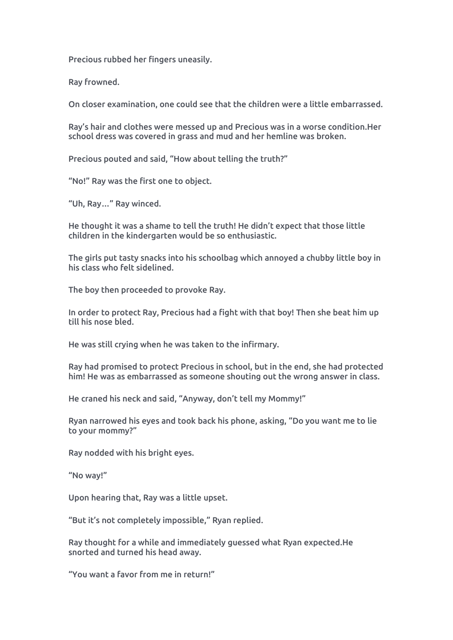Precious rubbed her fingers uneasily.

Ray frowned.

On closer examination, one could see that the children were a little embarrassed.

Ray's hair and clothes were messed up and Precious was in a worse condition.Her school dress was covered in grass and mud and her hemline was broken.<br>Precious pouted and said, "How about telling the truth?"

"No!" Ray was the first one to object.

"Uh, Ray…" Ray winced.

He thought it was a shame to tell the truth! He didn't expect that those little children in the kindergarten would be so enthusiastic.

The girls put tasty snacks into his schoolbag which annoyed a chubby little boy in his class who felt sidelined.

The boy then proceeded to provoke Ray.<br>In order to protect Ray, Precious had a fight with that boy! Then she beat him up till his nose bled.

He was still crying when he was taken to the infirmary.

Ray had promised to protect Precious in school, but in the end, she had protected him! He was as embarrassed as someone shouting out the wrong answer in class.

He craned his neck and said, "Anyway, don't tell my Mommy!"

Ryan narrowed his eyes and took back his phone, asking, "Do you want me to lie to your mommy?"

Ray nodded with his bright eyes.

"No way!"

Upon hearing that, Ray was a little upset.

"But it's not completely impossible," Ryan replied.

Ray thought for a while and immediately guessed what Ryan expected.He snorted and turned his head away.

"You want a favor from me in return!"